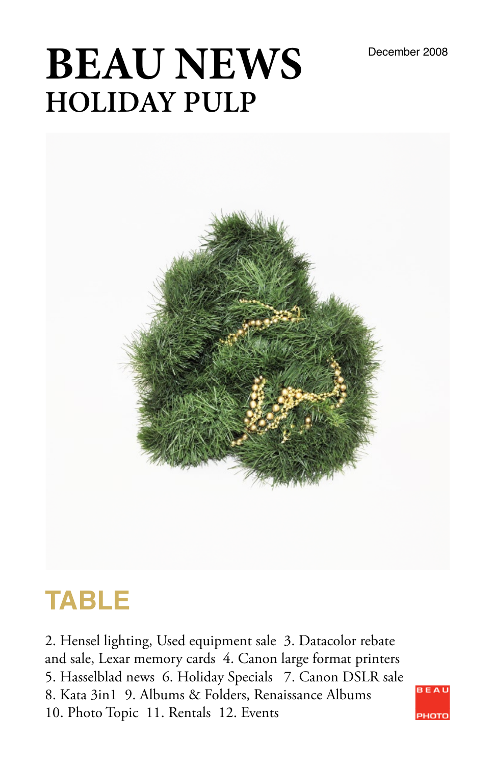# **BEAU NEWS** December 2008 **HOLIDAY PULP**



## **TABLE**

2. Hensel lighting, Used equipment sale 3. Datacolor rebate and sale, Lexar memory cards 4. Canon large format printers 5. Hasselblad news 6. Holiday Specials 7. Canon DSLR sale 8. Kata 3in1 9. Albums & Folders, Renaissance Albums 10. Photo Topic 11. Rentals 12. Events

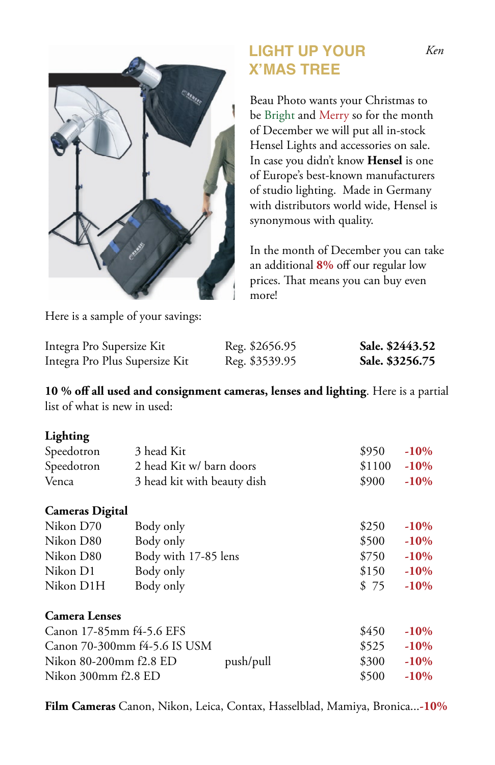

## **LIGHT UP YOUR X'MAS TREE**

Beau Photo wants your Christmas to be Bright and Merry so for the month of December we will put all in-stock Hensel Lights and accessories on sale. In case you didn't know **Hensel** is one of Europe's best-known manufacturers of studio lighting. Made in Germany with distributors world wide, Hensel is synonymous with quality.

In the month of December you can take an additional **8%** off our regular low prices. That means you can buy even more!

Here is a sample of your savings:

| Integra Pro Supersize Kit      | Reg. \$2656.95 | Sale. \$2443.52 |
|--------------------------------|----------------|-----------------|
| Integra Pro Plus Supersize Kit | Reg. \$3539.95 | Sale. \$3256.75 |

**10 % off all used and consignment cameras, lenses and lighting**. Here is a partial list of what is new in used:

#### **Lighting**

| ---------  |                             |                |         |
|------------|-----------------------------|----------------|---------|
| Speedotron | 3 head Kit                  | \$950          | $-10\%$ |
| Speedotron | 2 head Kit w/ barn doors    | $$1100 - 10\%$ |         |
| Venca      | 3 head kit with beauty dish | \$900          | $-10%$  |
|            |                             |                |         |

#### **Cameras Digital**

| Nikon D70 | Body only            | \$250 | $-10%$ |
|-----------|----------------------|-------|--------|
| Nikon D80 | Body only            | \$500 | $-10%$ |
| Nikon D80 | Body with 17-85 lens | \$750 | $-10%$ |
| Nikon D1  | Body only            | \$150 | $-10%$ |
| Nikon D1H | Body only            | \$ 75 | $-10%$ |
|           |                      |       |        |

#### **Camera Lenses**

| Canon 17-85mm f4-5.6 EFS            |  | \$450 | $-10%$  |
|-------------------------------------|--|-------|---------|
| Canon 70-300mm f4-5.6 IS USM        |  | \$525 | $-10%$  |
| Nikon 80-200mm f2.8 ED<br>push/pull |  | \$300 | $-10%$  |
| Nikon 300mm f2.8 ED                 |  | \$500 | $-10\%$ |

**Film Cameras** Canon, Nikon, Leica, Contax, Hasselblad, Mamiya, Bronica...**-10%**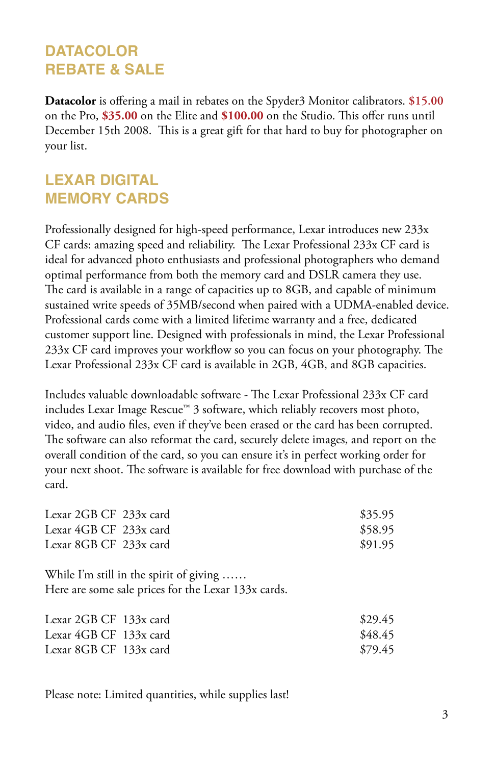### **DATACOLOR REBATE & SALE**

**Datacolor** is offering a mail in rebates on the Spyder3 Monitor calibrators. **\$15.00** on the Pro, **\$35.00** on the Elite and **\$100.00** on the Studio. This offer runs until December 15th 2008. This is a great gift for that hard to buy for photographer on your list.

### **LEXAR DIGITAL MEMORY CARDS**

Professionally designed for high-speed performance, Lexar introduces new 233x CF cards: amazing speed and reliability. The Lexar Professional 233x CF card is ideal for advanced photo enthusiasts and professional photographers who demand optimal performance from both the memory card and DSLR camera they use. The card is available in a range of capacities up to 8GB, and capable of minimum sustained write speeds of 35MB/second when paired with a UDMA-enabled device. Professional cards come with a limited lifetime warranty and a free, dedicated customer support line. Designed with professionals in mind, the Lexar Professional 233x CF card improves your workflow so you can focus on your photography. The Lexar Professional 233x CF card is available in 2GB, 4GB, and 8GB capacities.

Includes valuable downloadable software - The Lexar Professional 233x CF card includes Lexar Image Rescue™ 3 software, which reliably recovers most photo, video, and audio files, even if they've been erased or the card has been corrupted. The software can also reformat the card, securely delete images, and report on the overall condition of the card, so you can ensure it's in perfect working order for your next shoot. The software is available for free download with purchase of the card.

| Lexar 2GB CF 233x card | \$35.95 |
|------------------------|---------|
| Lexar 4GB CF 233x card | \$58.95 |
| Lexar 8GB CF 233x card | \$91.95 |

While I'm still in the spirit of giving ...... Here are some sale prices for the Lexar 133x cards.

| Lexar $2GB CF$ 133x card | \$29.45 |
|--------------------------|---------|
| Lexar 4GB CF 133x card   | \$48.45 |
| Lexar 8GB CF 133x card   | \$79.45 |

Please note: Limited quantities, while supplies last!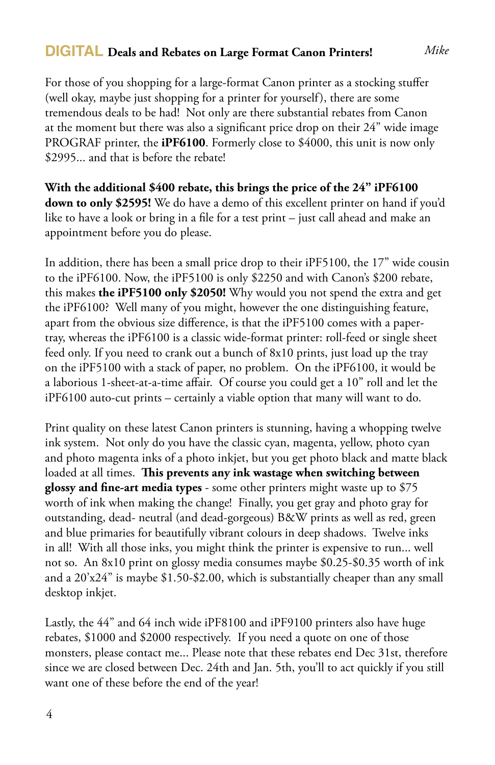#### **DIGITAL Deals and Rebates on Large Format Canon Printers!**

For those of you shopping for a large-format Canon printer as a stocking stuffer

(well okay, maybe just shopping for a printer for yourself), there are some tremendous deals to be had! Not only are there substantial rebates from Canon at the moment but there was also a significant price drop on their 24" wide image PROGRAF printer, the **iPF6100**. Formerly close to \$4000, this unit is now only \$2995... and that is before the rebate!

**With the additional \$400 rebate, this brings the price of the 24" iPF6100 down to only \$2595!** We do have a demo of this excellent printer on hand if you'd like to have a look or bring in a file for a test print – just call ahead and make an appointment before you do please.

In addition, there has been a small price drop to their iPF5100, the 17" wide cousin to the iPF6100. Now, the iPF5100 is only \$2250 and with Canon's \$200 rebate, this makes **the iPF5100 only \$2050!** Why would you not spend the extra and get the iPF6100? Well many of you might, however the one distinguishing feature, apart from the obvious size difference, is that the iPF5100 comes with a papertray, whereas the iPF6100 is a classic wide-format printer: roll-feed or single sheet feed only. If you need to crank out a bunch of 8x10 prints, just load up the tray on the iPF5100 with a stack of paper, no problem. On the iPF6100, it would be a laborious 1-sheet-at-a-time affair. Of course you could get a 10" roll and let the iPF6100 auto-cut prints – certainly a viable option that many will want to do.

Print quality on these latest Canon printers is stunning, having a whopping twelve ink system. Not only do you have the classic cyan, magenta, yellow, photo cyan and photo magenta inks of a photo inkjet, but you get photo black and matte black loaded at all times. **This prevents any ink wastage when switching between glossy and fine-art media types** - some other printers might waste up to \$75 worth of ink when making the change! Finally, you get gray and photo gray for outstanding, dead- neutral (and dead-gorgeous) B&W prints as well as red, green and blue primaries for beautifully vibrant colours in deep shadows. Twelve inks in all! With all those inks, you might think the printer is expensive to run... well not so. An 8x10 print on glossy media consumes maybe \$0.25-\$0.35 worth of ink and a 20'x24" is maybe \$1.50-\$2.00, which is substantially cheaper than any small desktop inkjet.

Lastly, the 44" and 64 inch wide iPF8100 and iPF9100 printers also have huge rebates, \$1000 and \$2000 respectively. If you need a quote on one of those monsters, please contact me... Please note that these rebates end Dec 31st, therefore since we are closed between Dec. 24th and Jan. 5th, you'll to act quickly if you still want one of these before the end of the year!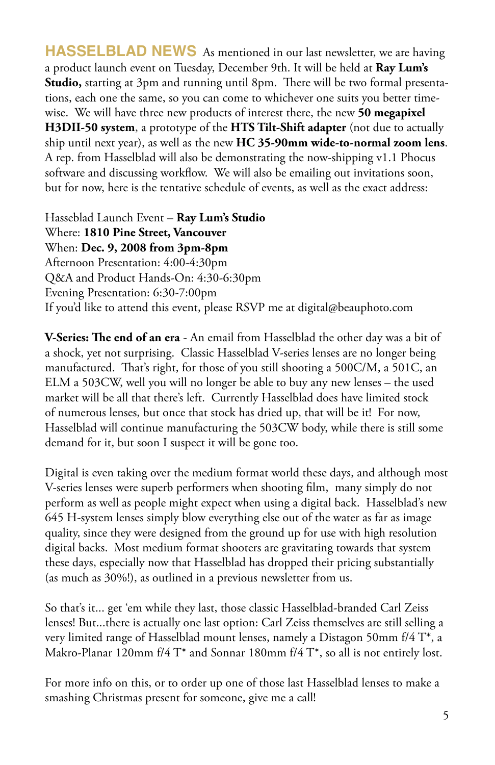**HASSELBLAD NEWS** As mentioned in our last newsletter, we are having a product launch event on Tuesday, December 9th. It will be held at **Ray Lum's Studio,** starting at 3pm and running until 8pm. There will be two formal presentations, each one the same, so you can come to whichever one suits you better timewise. We will have three new products of interest there, the new **50 megapixel H3DII-50 system**, a prototype of the **HTS Tilt-Shift adapter** (not due to actually ship until next year), as well as the new **HC 35-90mm wide-to-normal zoom lens**. A rep. from Hasselblad will also be demonstrating the now-shipping v1.1 Phocus software and discussing workflow. We will also be emailing out invitations soon, but for now, here is the tentative schedule of events, as well as the exact address:

Hasseblad Launch Event – **Ray Lum's Studio**  Where: **1810 Pine Street, Vancouver**  When: **Dec. 9, 2008 from 3pm-8pm**  Afternoon Presentation: 4:00-4:30pm Q&A and Product Hands-On: 4:30-6:30pm Evening Presentation: 6:30-7:00pm If you'd like to attend this event, please RSVP me at digital@beauphoto.com

**V-Series: The end of an era** - An email from Hasselblad the other day was a bit of a shock, yet not surprising. Classic Hasselblad V-series lenses are no longer being manufactured. That's right, for those of you still shooting a 500C/M, a 501C, an ELM a 503CW, well you will no longer be able to buy any new lenses – the used market will be all that there's left. Currently Hasselblad does have limited stock of numerous lenses, but once that stock has dried up, that will be it! For now, Hasselblad will continue manufacturing the 503CW body, while there is still some demand for it, but soon I suspect it will be gone too.

Digital is even taking over the medium format world these days, and although most V-series lenses were superb performers when shooting film, many simply do not perform as well as people might expect when using a digital back. Hasselblad's new 645 H-system lenses simply blow everything else out of the water as far as image quality, since they were designed from the ground up for use with high resolution digital backs. Most medium format shooters are gravitating towards that system these days, especially now that Hasselblad has dropped their pricing substantially (as much as 30%!), as outlined in a previous newsletter from us.

So that's it... get 'em while they last, those classic Hasselblad-branded Carl Zeiss lenses! But...there is actually one last option: Carl Zeiss themselves are still selling a very limited range of Hasselblad mount lenses, namely a Distagon 50mm f/4 T\*, a Makro-Planar 120mm f/4 T\* and Sonnar 180mm f/4 T\*, so all is not entirely lost.

For more info on this, or to order up one of those last Hasselblad lenses to make a smashing Christmas present for someone, give me a call!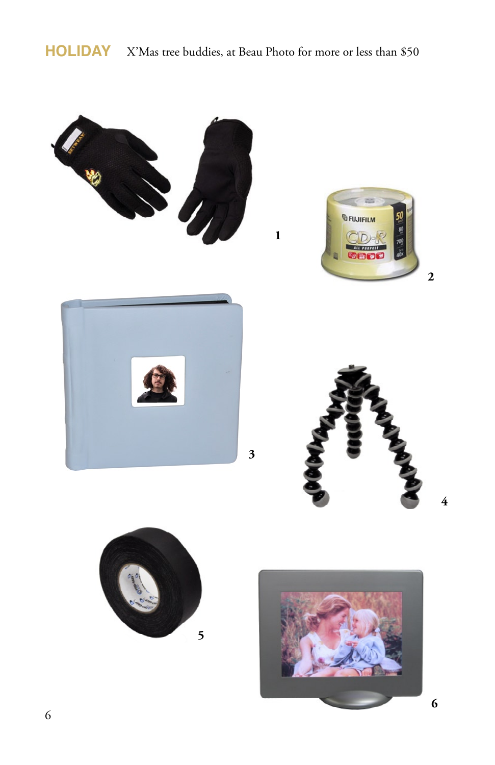## **HOLIDAY** X'Mas tree buddies, at Beau Photo for more or less than \$50

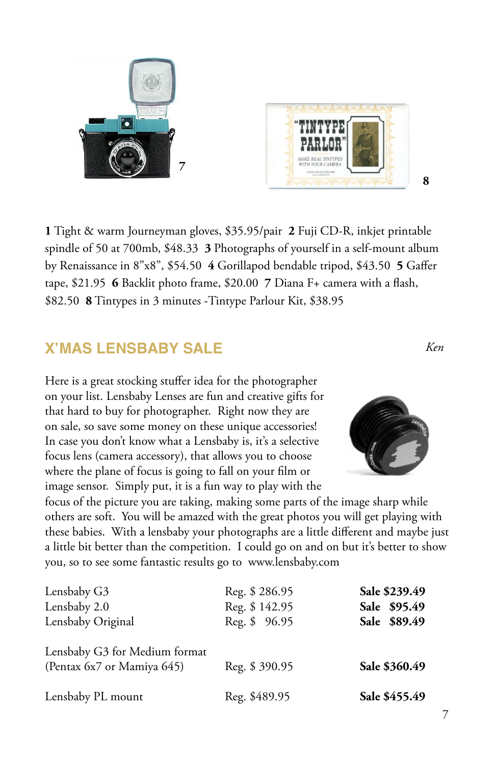**1** Tight & warm Journeyman gloves, \$35.95/pair **2** Fuji CD-R, inkjet printable spindle of 50 at 700mb, \$48.33 **3** Photographs of yourself in a self-mount album by Renaissance in 8"x8", \$54.50 **4** Gorillapod bendable tripod, \$43.50 **5** Gaffer tape, \$21.95 **6** Backlit photo frame, \$20.00 **7** Diana F+ camera with a flash, \$82.50 **8** Tintypes in 3 minutes -Tintype Parlour Kit, \$38.95

## **X'MAS LENSBABY SALE**

Here is a great stocking stuffer idea for the photographer on your list. Lensbaby Lenses are fun and creative gifts for that hard to buy for photographer. Right now they are on sale, so save some money on these unique accessories! In case you don't know what a Lensbaby is, it's a selective focus lens (camera accessory), that allows you to choose where the plane of focus is going to fall on your film or image sensor. Simply put, it is a fun way to play with the

focus of the picture you are taking, making some parts of the image sharp while others are soft. You will be amazed with the great photos you will get playing with these babies. With a lensbaby your photographs are a little different and maybe just a little bit better than the competition. I could go on and on but it's better to show you, so to see some fantastic results go to www.lensbaby.com

| Lensbaby G3                   | Reg. \$286.95 | Sale \$239.49 |
|-------------------------------|---------------|---------------|
| Lensbaby 2.0                  | Reg. \$142.95 | Sale \$95.49  |
| Lensbaby Original             | Reg. \$ 96.95 | Sale \$89.49  |
| Lensbaby G3 for Medium format |               |               |
| (Pentax 6x7 or Mamiya 645)    | Reg. \$390.95 | Sale \$360.49 |
| Lensbaby PL mount             | Reg. \$489.95 | Sale \$455.49 |









**8**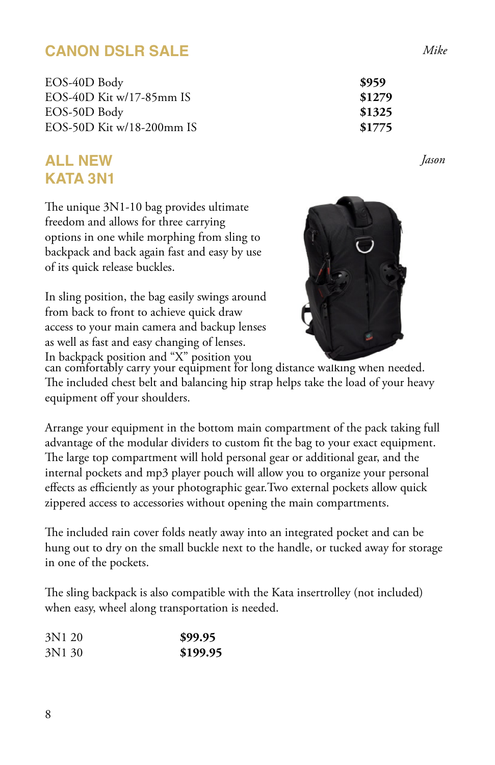## **CANON DSLR SALE**

EOS-40D Body **\$959**  EOS-40D Kit w/17-85mm IS **\$1279** EOS-50D Body **\$1325**  EOS-50D Kit w/18-200mm IS **\$1775**

### **ALL NEW KATA 3N1**

The unique 3N1-10 bag provides ultimate freedom and allows for three carrying options in one while morphing from sling to backpack and back again fast and easy by use of its quick release buckles.

In sling position, the bag easily swings around from back to front to achieve quick draw access to your main camera and backup lenses as well as fast and easy changing of lenses. In backpack position and "X" position you



can comfortably carry your equipment for long distance walking when needed. The included chest belt and balancing hip strap helps take the load of your heavy equipment off your shoulders.

Arrange your equipment in the bottom main compartment of the pack taking full advantage of the modular dividers to custom fit the bag to your exact equipment. The large top compartment will hold personal gear or additional gear, and the internal pockets and mp3 player pouch will allow you to organize your personal effects as efficiently as your photographic gear.Two external pockets allow quick zippered access to accessories without opening the main compartments.

The included rain cover folds neatly away into an integrated pocket and can be hung out to dry on the small buckle next to the handle, or tucked away for storage in one of the pockets.

The sling backpack is also compatible with the Kata insertrolley (not included) when easy, wheel along transportation is needed.

| 3N1 20 | \$99.95  |
|--------|----------|
| 3N1 30 | \$199.95 |

*Jason*

*Mike*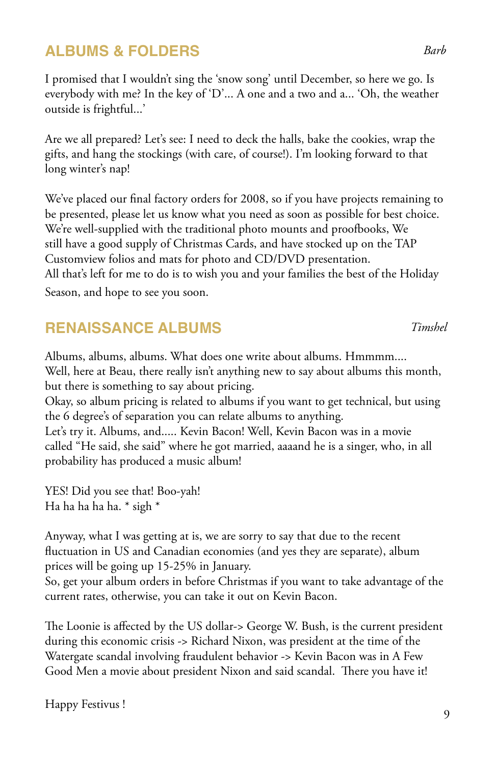## **ALBUMS & FOLDERS**

I promised that I wouldn't sing the 'snow song' until December, so here we go. Is everybody with me? In the key of 'D'... A one and a two and a... 'Oh, the weather outside is frightful...'

Are we all prepared? Let's see: I need to deck the halls, bake the cookies, wrap the gifts, and hang the stockings (with care, of course!). I'm looking forward to that long winter's nap!

We've placed our final factory orders for 2008, so if you have projects remaining to be presented, please let us know what you need as soon as possible for best choice. We're well-supplied with the traditional photo mounts and proofbooks, We still have a good supply of Christmas Cards, and have stocked up on the TAP Customview folios and mats for photo and CD/DVD presentation.

All that's left for me to do is to wish you and your families the best of the Holiday Season, and hope to see you soon.

#### **RENAISSANCE ALBUMS**

Albums, albums, albums. What does one write about albums. Hmmmm.... Well, here at Beau, there really isn't anything new to say about albums this month, but there is something to say about pricing.

Okay, so album pricing is related to albums if you want to get technical, but using the 6 degree's of separation you can relate albums to anything. Let's try it. Albums, and..... Kevin Bacon! Well, Kevin Bacon was in a movie called "He said, she said" where he got married, aaaand he is a singer, who, in all

YES! Did you see that! Boo-yah! Ha ha ha ha ha. \* sigh \*

probability has produced a music album!

Anyway, what I was getting at is, we are sorry to say that due to the recent fluctuation in US and Canadian economies (and yes they are separate), album prices will be going up 15-25% in January.

So, get your album orders in before Christmas if you want to take advantage of the current rates, otherwise, you can take it out on Kevin Bacon.

The Loonie is affected by the US dollar-> George W. Bush, is the current president during this economic crisis -> Richard Nixon, was president at the time of the Watergate scandal involving fraudulent behavior -> Kevin Bacon was in A Few Good Men a movie about president Nixon and said scandal. There you have it!

#### *Timshel*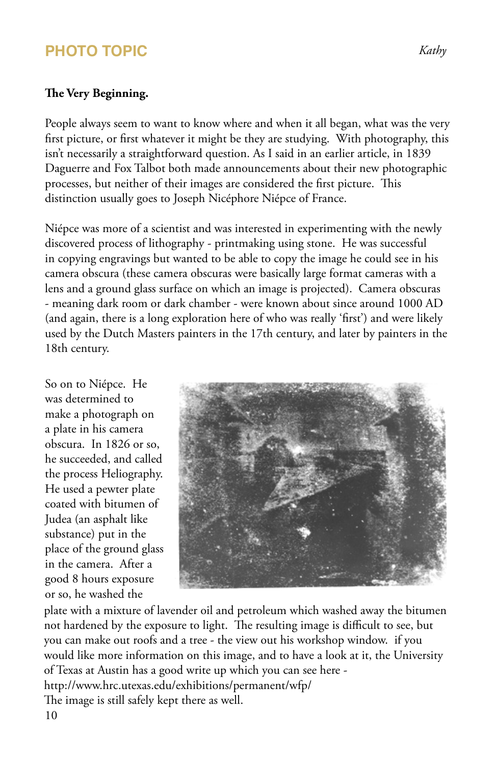## **PHOTO TOPIC**

#### **The Very Beginning.**

People always seem to want to know where and when it all began, what was the very first picture, or first whatever it might be they are studying. With photography, this isn't necessarily a straightforward question. As I said in an earlier article, in 1839 Daguerre and Fox Talbot both made announcements about their new photographic processes, but neither of their images are considered the first picture. This distinction usually goes to Joseph Nicéphore Niépce of France.

Niépce was more of a scientist and was interested in experimenting with the newly discovered process of lithography - printmaking using stone. He was successful in copying engravings but wanted to be able to copy the image he could see in his camera obscura (these camera obscuras were basically large format cameras with a lens and a ground glass surface on which an image is projected). Camera obscuras - meaning dark room or dark chamber - were known about since around 1000 AD (and again, there is a long exploration here of who was really 'first') and were likely used by the Dutch Masters painters in the 17th century, and later by painters in the 18th century.

So on to Niépce. He was determined to make a photograph on a plate in his camera obscura. In 1826 or so, he succeeded, and called the process Heliography. He used a pewter plate coated with bitumen of Judea (an asphalt like substance) put in the place of the ground glass in the camera. After a good 8 hours exposure or so, he washed the



plate with a mixture of lavender oil and petroleum which washed away the bitumen not hardened by the exposure to light. The resulting image is difficult to see, but you can make out roofs and a tree - the view out his workshop window. if you would like more information on this image, and to have a look at it, the University of Texas at Austin has a good write up which you can see here http://www.hrc.utexas.edu/exhibitions/permanent/wfp/ The image is still safely kept there as well. 10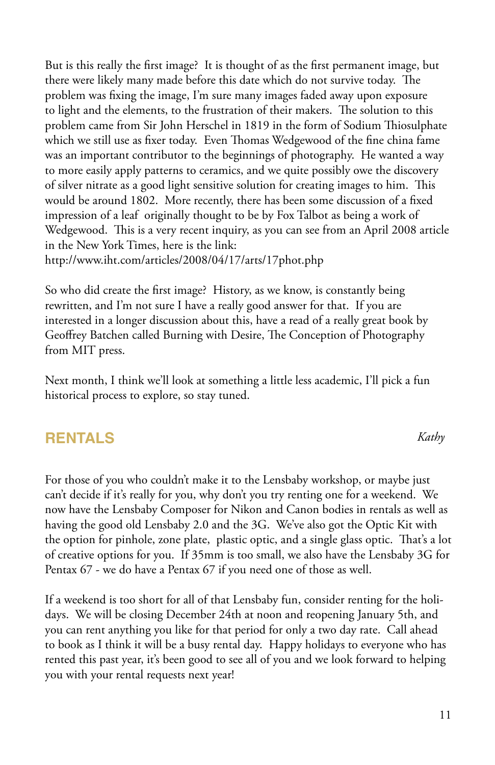But is this really the first image? It is thought of as the first permanent image, but there were likely many made before this date which do not survive today. The problem was fixing the image, I'm sure many images faded away upon exposure to light and the elements, to the frustration of their makers. The solution to this problem came from Sir John Herschel in 1819 in the form of Sodium Thiosulphate which we still use as fixer today. Even Thomas Wedgewood of the fine china fame was an important contributor to the beginnings of photography. He wanted a way to more easily apply patterns to ceramics, and we quite possibly owe the discovery of silver nitrate as a good light sensitive solution for creating images to him. This would be around 1802. More recently, there has been some discussion of a fixed impression of a leaf originally thought to be by Fox Talbot as being a work of Wedgewood. This is a very recent inquiry, as you can see from an April 2008 article in the New York Times, here is the link:

http://www.iht.com/articles/2008/04/17/arts/17phot.php

So who did create the first image? History, as we know, is constantly being rewritten, and I'm not sure I have a really good answer for that. If you are interested in a longer discussion about this, have a read of a really great book by Geoffrey Batchen called Burning with Desire, The Conception of Photography from MIT press.

Next month, I think we'll look at something a little less academic, I'll pick a fun historical process to explore, so stay tuned.

#### **RENTALS**

For those of you who couldn't make it to the Lensbaby workshop, or maybe just can't decide if it's really for you, why don't you try renting one for a weekend. We now have the Lensbaby Composer for Nikon and Canon bodies in rentals as well as having the good old Lensbaby 2.0 and the 3G. We've also got the Optic Kit with the option for pinhole, zone plate, plastic optic, and a single glass optic. That's a lot of creative options for you. If 35mm is too small, we also have the Lensbaby 3G for Pentax 67 - we do have a Pentax 67 if you need one of those as well.

If a weekend is too short for all of that Lensbaby fun, consider renting for the holidays. We will be closing December 24th at noon and reopening January 5th, and you can rent anything you like for that period for only a two day rate. Call ahead to book as I think it will be a busy rental day. Happy holidays to everyone who has rented this past year, it's been good to see all of you and we look forward to helping you with your rental requests next year!

*Kathy*